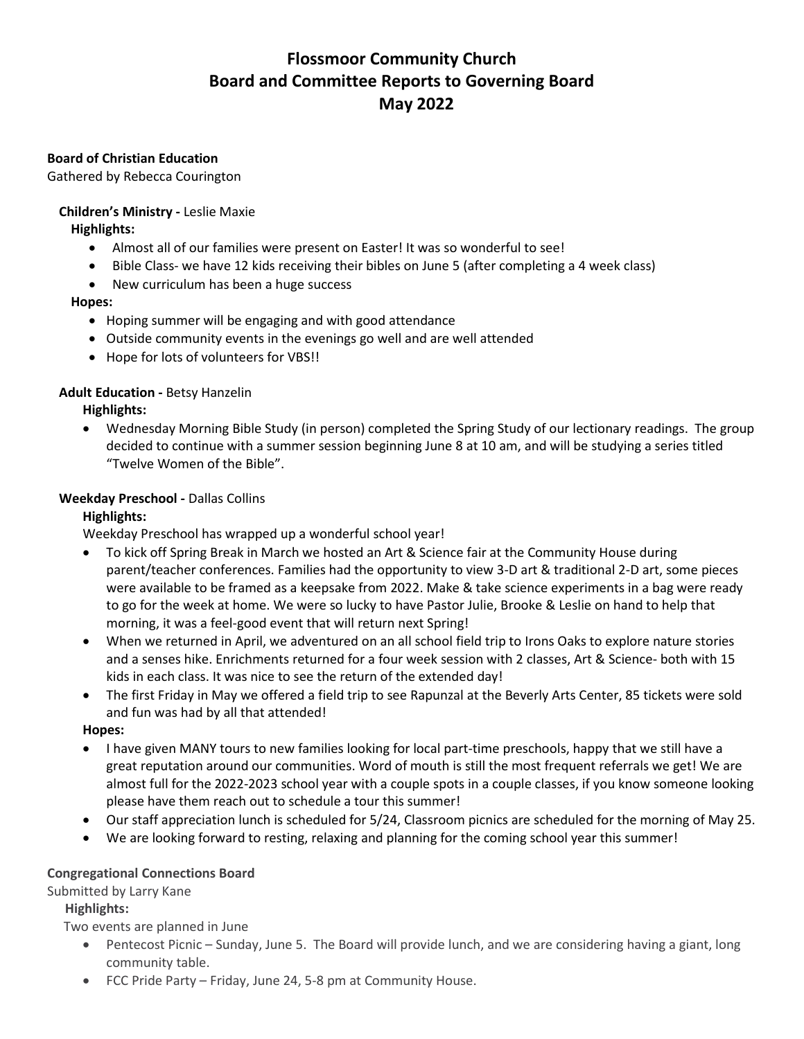# **Flossmoor Community Church Board and Committee Reports to Governing Board May 2022**

## **Board of Christian Education**

Gathered by Rebecca Courington

# **Children's Ministry -** Leslie Maxie

**Highlights:**

- Almost all of our families were present on Easter! It was so wonderful to see!
- Bible Class- we have 12 kids receiving their bibles on June 5 (after completing a 4 week class)
- New curriculum has been a huge success

## **Hopes:**

- Hoping summer will be engaging and with good attendance
- Outside community events in the evenings go well and are well attended
- Hope for lots of volunteers for VBS!!

## **Adult Education -** Betsy Hanzelin

**Highlights:**

• Wednesday Morning Bible Study (in person) completed the Spring Study of our lectionary readings. The group decided to continue with a summer session beginning June 8 at 10 am, and will be studying a series titled "Twelve Women of the Bible".

## **Weekday Preschool -** Dallas Collins

# **Highlights:**

Weekday Preschool has wrapped up a wonderful school year!

- To kick off Spring Break in March we hosted an Art & Science fair at the Community House during parent/teacher conferences. Families had the opportunity to view 3-D art & traditional 2-D art, some pieces were available to be framed as a keepsake from 2022. Make & take science experiments in a bag were ready to go for the week at home. We were so lucky to have Pastor Julie, Brooke & Leslie on hand to help that morning, it was a feel-good event that will return next Spring!
- When we returned in April, we adventured on an all school field trip to Irons Oaks to explore nature stories and a senses hike. Enrichments returned for a four week session with 2 classes, Art & Science- both with 15 kids in each class. It was nice to see the return of the extended day!
- The first Friday in May we offered a field trip to see Rapunzal at the Beverly Arts Center, 85 tickets were sold and fun was had by all that attended!

### **Hopes:**

- I have given MANY tours to new families looking for local part-time preschools, happy that we still have a great reputation around our communities. Word of mouth is still the most frequent referrals we get! We are almost full for the 2022-2023 school year with a couple spots in a couple classes, if you know someone looking please have them reach out to schedule a tour this summer!
- Our staff appreciation lunch is scheduled for 5/24, Classroom picnics are scheduled for the morning of May 25.
- We are looking forward to resting, relaxing and planning for the coming school year this summer!

### **Congregational Connections Board**

Submitted by Larry Kane

### **Highlights:**

Two events are planned in June

- Pentecost Picnic Sunday, June 5. The Board will provide lunch, and we are considering having a giant, long community table.
- FCC Pride Party Friday, June 24, 5-8 pm at Community House.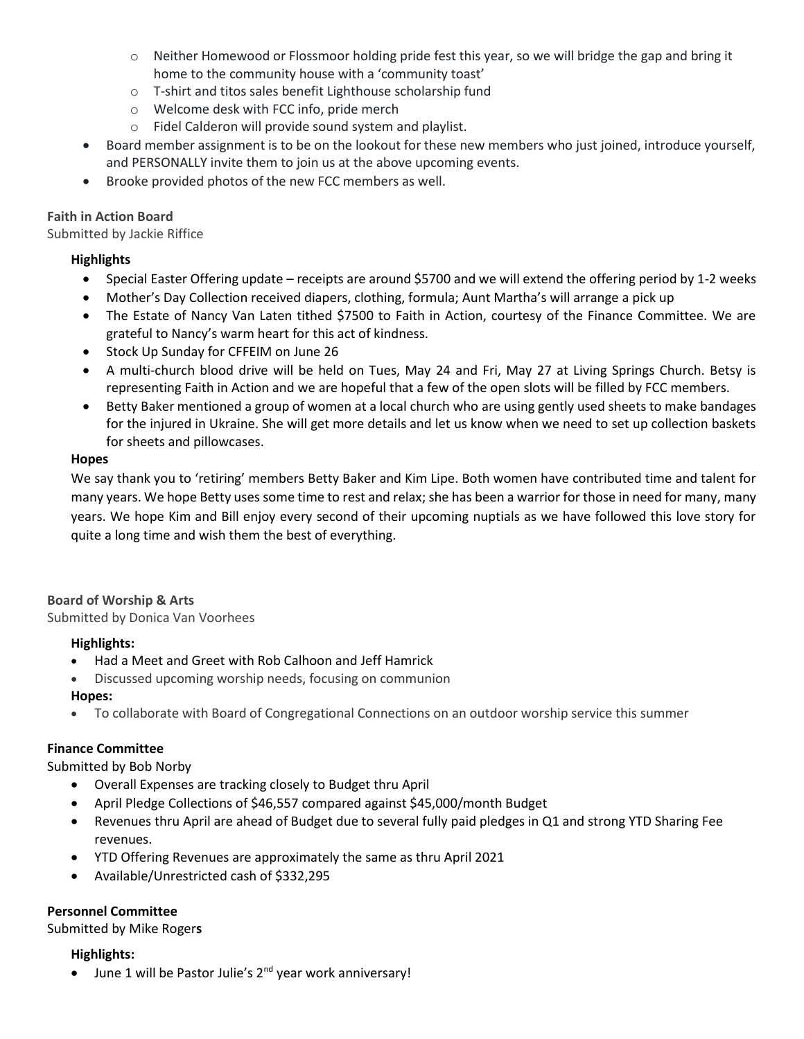- o Neither Homewood or Flossmoor holding pride fest this year, so we will bridge the gap and bring it home to the community house with a 'community toast'
- o T-shirt and titos sales benefit Lighthouse scholarship fund
- o Welcome desk with FCC info, pride merch
- o Fidel Calderon will provide sound system and playlist.
- Board member assignment is to be on the lookout for these new members who just joined, introduce yourself, and PERSONALLY invite them to join us at the above upcoming events.
- Brooke provided photos of the new FCC members as well.

## **Faith in Action Board**

Submitted by Jackie Riffice

## **Highlights**

- Special Easter Offering update receipts are around \$5700 and we will extend the offering period by 1-2 weeks
- Mother's Day Collection received diapers, clothing, formula; Aunt Martha's will arrange a pick up
- The Estate of Nancy Van Laten tithed \$7500 to Faith in Action, courtesy of the Finance Committee. We are grateful to Nancy's warm heart for this act of kindness.
- Stock Up Sunday for CFFEIM on June 26
- A multi-church blood drive will be held on Tues, May 24 and Fri, May 27 at Living Springs Church. Betsy is representing Faith in Action and we are hopeful that a few of the open slots will be filled by FCC members.
- Betty Baker mentioned a group of women at a local church who are using gently used sheets to make bandages for the injured in Ukraine. She will get more details and let us know when we need to set up collection baskets for sheets and pillowcases.

## **Hopes**

We say thank you to 'retiring' members Betty Baker and Kim Lipe. Both women have contributed time and talent for many years. We hope Betty uses some time to rest and relax; she has been a warrior for those in need for many, many years. We hope Kim and Bill enjoy every second of their upcoming nuptials as we have followed this love story for quite a long time and wish them the best of everything.

### **Board of Worship & Arts**

Submitted by Donica Van Voorhees

### **Highlights:**

- Had a Meet and Greet with Rob Calhoon and Jeff Hamrick
- Discussed upcoming worship needs, focusing on communion

### **Hopes:**

• To collaborate with Board of Congregational Connections on an outdoor worship service this summer

# **Finance Committee**

Submitted by Bob Norby

- Overall Expenses are tracking closely to Budget thru April
- April Pledge Collections of \$46,557 compared against \$45,000/month Budget
- Revenues thru April are ahead of Budget due to several fully paid pledges in Q1 and strong YTD Sharing Fee revenues.
- YTD Offering Revenues are approximately the same as thru April 2021
- Available/Unrestricted cash of \$332,295

# **Personnel Committee**

Submitted by Mike Roger**s**

### **Highlights:**

 $\bullet$  June 1 will be Pastor Julie's 2<sup>nd</sup> year work anniversary!